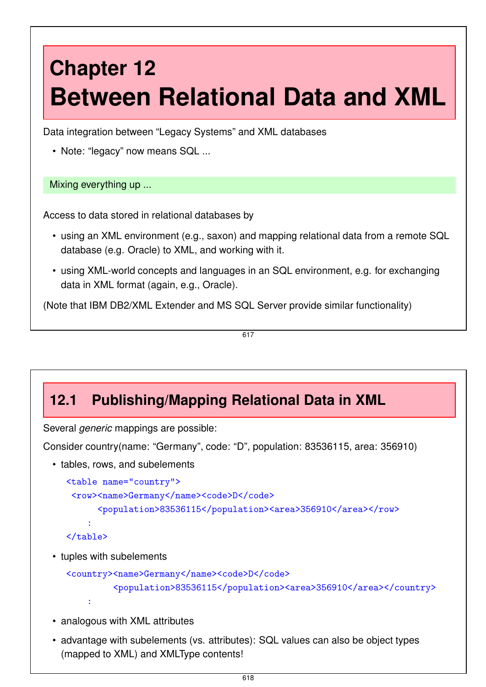# **Chapter 12 Between Relational Data and XML**

Data integration between "Legacy Systems" and XML databases

• Note: "legacy" now means SQL ...

Mixing everything up ...

Access to data stored in relational databases by

- using an XML environment (e.g., saxon) and mapping relational data from a remote SQL database (e.g. Oracle) to XML, and working with it.
- using XML-world concepts and languages in an SQL environment, e.g. for exchanging data in XML format (again, e.g., Oracle).

(Note that IBM DB2/XML Extender and MS SQL Server provide similar functionality)

617

# **12.1 Publishing/Mapping Relational Data in XML**

Several *generic* mappings are possible:

Consider country(name: "Germany", code: "D", population: 83536115, area: 356910)

• tables, rows, and subelements

```
<table name="country">
 <row><name>Germany</name><code>D</code>
      <population>83536115</population><area>356910</area></row>
    :
\langletable\rangle
```
• tuples with subelements

```
<country><name>Germany</name><code>D</code>
         <population>83536115</population><area>356910</area></country>
    :
```
- analogous with XML attributes
- advantage with subelements (vs. attributes): SQL values can also be object types (mapped to XML) and XMLType contents!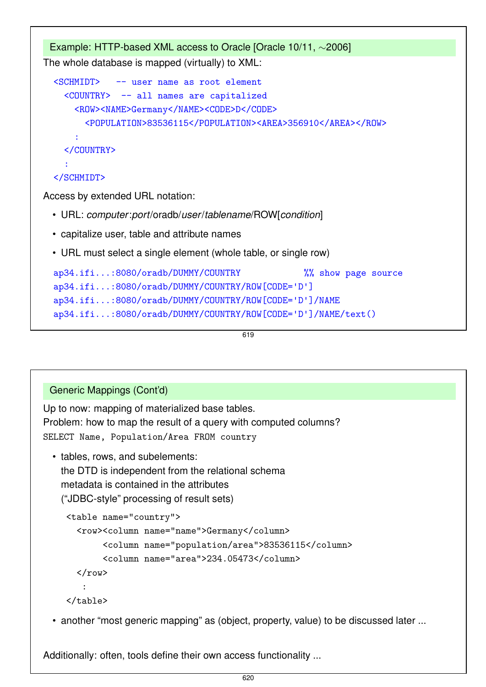```
Example: HTTP-based XML access to Oracle [Oracle 10/11, ∼2006]
The whole database is mapped (virtually) to XML:
  <SCHMIDT> -- user name as root element
    <COUNTRY> -- all names are capitalized
      <ROW><NAME>Germany</NAME><CODE>D</CODE>
        <POPULATION>83536115</POPULATION><AREA>356910</AREA></ROW>
      :
    </COUNTRY>
    :
  </SCHMIDT>
Access by extended URL notation:
 • URL: computer:port/oradb/user/tablename/ROW[condition]
 • capitalize user, table and attribute names
 • URL must select a single element (whole table, or single row)
  ap34.ifi...:8080/oradb/DUMMY/COUNTRY %% show page source
  ap34.ifi...:8080/oradb/DUMMY/COUNTRY/ROW[CODE='D']
```

```
ap34.ifi...:8080/oradb/DUMMY/COUNTRY/ROW[CODE='D']/NAME
```

```
ap34.ifi...:8080/oradb/DUMMY/COUNTRY/ROW[CODE='D']/NAME/text()
```
619

#### Generic Mappings (Cont'd)

Up to now: mapping of materialized base tables. Problem: how to map the result of a query with computed columns? SELECT Name, Population/Area FROM country

• tables, rows, and subelements: the DTD is independent from the relational schema metadata is contained in the attributes ("JDBC-style" processing of result sets)

```
<table name="country">
  <row><column name="name">Germany</column>
       <column name="population/area">83536115</column>
       <column name="area">234.05473</column>
  \langlerow\rangle:
</table>
```
• another "most generic mapping" as (object, property, value) to be discussed later ...

Additionally: often, tools define their own access functionality ...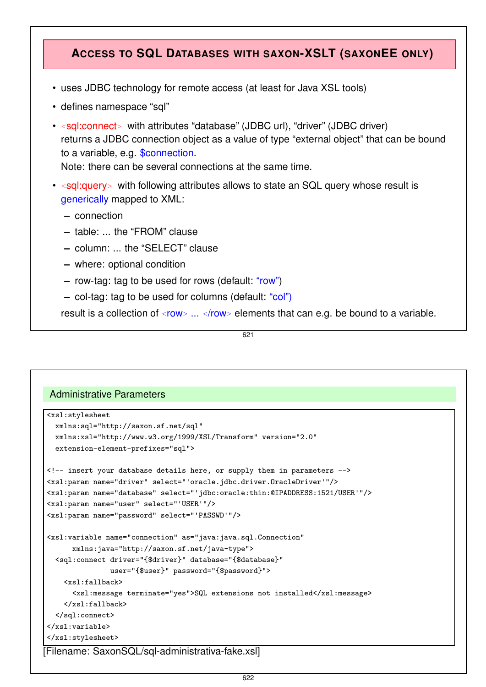### **ACCESS TO SQL DATABASES WITH SAXON-XSLT (SAXONEE ONLY)**

- uses JDBC technology for remote access (at least for Java XSL tools)
- defines namespace "sql"
- *<sup>&</sup>lt;*sql:connect*<sup>&</sup>gt;* with attributes "database" (JDBC url), "driver" (JDBC driver) returns a JDBC connection object as a value of type "external object" that can be bound to a variable, e.g. \$connection.

Note: there can be several connections at the same time.

- *<sup>&</sup>lt;*sql:query*<sup>&</sup>gt;* with following attributes allows to state an SQL query whose result is generically mapped to XML:
	- **–** connection
	- **–** table: ... the "FROM" clause
	- **–** column: ... the "SELECT" clause
	- **–** where: optional condition
	- **–** row-tag: tag to be used for rows (default: "row")
	- **–** col-tag: tag to be used for columns (default: "col")

result is a collection of *<sup>&</sup>lt;*row*<sup>&</sup>gt;* ... *<sup>&</sup>lt;*/row*<sup>&</sup>gt;* elements that can e.g. be bound to a variable.

621

#### Administrative Parameters

```
<xsl:stylesheet
  xmlns:sql="http://saxon.sf.net/sql"
  xmlns:xsl="http://www.w3.org/1999/XSL/Transform" version="2.0"
  extension-element-prefixes="sql">
<!-- insert your database details here, or supply them in parameters -->
<xsl:param name="driver" select="'oracle.jdbc.driver.OracleDriver'"/>
<xsl:param name="database" select="'jdbc:oracle:thin:@IPADDRESS:1521/USER'"/>
<xsl:param name="user" select="'USER'"/>
<xsl:param name="password" select="'PASSWD'"/>
<xsl:variable name="connection" as="java:java.sql.Connection"
      xmlns:java="http://saxon.sf.net/java-type">
  <sql:connect driver="{$driver}" database="{$database}"
               user="{$user}" password="{$password}">
    <xsl:fallback>
      <xsl:message terminate="yes">SQL extensions not installed</xsl:message>
    </xsl:fallback>
  </sql:connect>
</xsl:variable>
</xsl:stylesheet>
[Filename: SaxonSQL/sql-administrativa-fake.xsl]
```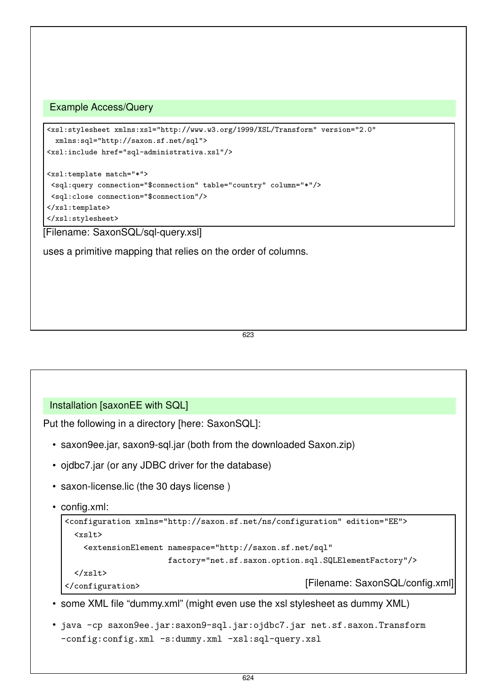#### Example Access/Query

```
<xsl:stylesheet xmlns:xsl="http://www.w3.org/1999/XSL/Transform" version="2.0"
  xmlns:sql="http://saxon.sf.net/sql">
<xsl:include href="sql-administrativa.xsl"/>
<xsl:template match="*">
 <sql:query connection="$connection" table="country" column="*"/>
<sql:close connection="$connection"/>
</xsl:template>
</xsl:stylesheet>
```
[Filename: SaxonSQL/sql-query.xsl]

uses a primitive mapping that relies on the order of columns.

623

#### Installation [saxonEE with SQL]

Put the following in a directory [here: SaxonSQL]:

- saxon9ee.jar, saxon9-sql.jar (both from the downloaded Saxon.zip)
- ojdbc7.jar (or any JDBC driver for the database)
- saxon-license.lic (the 30 days license )
- config.xml:

```
<configuration xmlns="http://saxon.sf.net/ns/configuration" edition="EE">
 <xslt>
   <extensionElement namespace="http://saxon.sf.net/sql"
                   factory="net.sf.saxon.option.sql.SQLElementFactory"/>
 \langle/xslt>
</configuration> [Filename: SaxonSQL/config.xml]
```
- some XML file "dummy.xml" (might even use the xsl stylesheet as dummy XML)
- java -cp saxon9ee.jar:saxon9-sql.jar:ojdbc7.jar net.sf.saxon.Transform -config:config.xml -s:dummy.xml -xsl:sql-query.xsl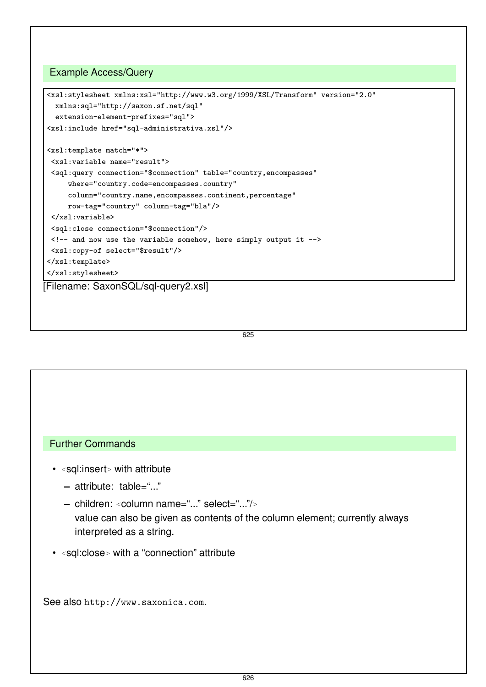#### Example Access/Query

```
<xsl:stylesheet xmlns:xsl="http://www.w3.org/1999/XSL/Transform" version="2.0"
  xmlns:sql="http://saxon.sf.net/sql"
  extension-element-prefixes="sql">
 <xsl:include href="sql-administrativa.xsl"/>
<xsl:template match="*">
 <xsl:variable name="result">
 <sql:query connection="$connection" table="country,encompasses"
     where="country.code=encompasses.country"
     column="country.name,encompasses.continent,percentage"
     row-tag="country" column-tag="bla"/>
 </xsl:variable>
 <sql:close connection="$connection"/>
 <!-- and now use the variable somehow, here simply output it -->
 <xsl:copy-of select="$result"/>
</xsl:template>
</xsl:stylesheet>
[Filename: SaxonSQL/sql-query2.xsl]
```
#### 625

#### Further Commands

- *<sup>&</sup>lt;*sql:insert*<sup>&</sup>gt;* with attribute
	- **–** attribute: table="..."
	- **–** children: *<sup>&</sup>lt;*column name="..." select="..."/*<sup>&</sup>gt;* value can also be given as contents of the column element; currently always interpreted as a string.
- *<sup>&</sup>lt;*sql:close*<sup>&</sup>gt;* with a "connection" attribute

See also http://www.saxonica.com.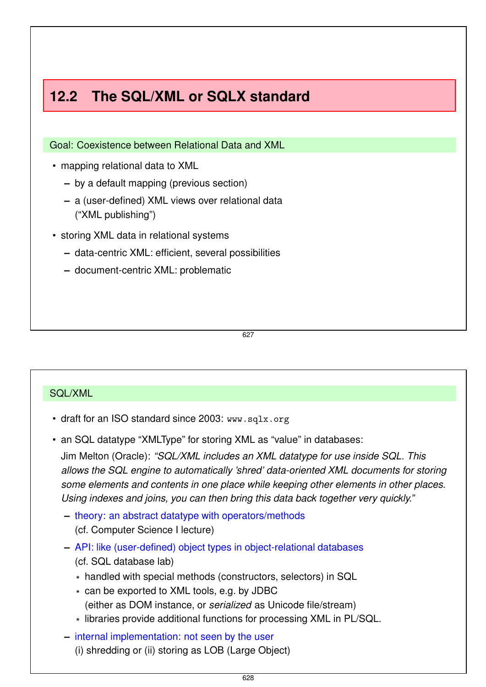# **12.2 The SQL/XML or SQLX standard**

Goal: Coexistence between Relational Data and XML

- mapping relational data to XML
	- **–** by a default mapping (previous section)
	- **–** a (user-defined) XML views over relational data ("XML publishing")
- storing XML data in relational systems
	- **–** data-centric XML: efficient, several possibilities
	- **–** document-centric XML: problematic

627

#### SQL/XML

- draft for an ISO standard since 2003: www.sqlx.org
- an SQL datatype "XMLType" for storing XML as "value" in databases:

Jim Melton (Oracle): *"SQL/XML includes an XML datatype for use inside SQL. This allows the SQL engine to automatically 'shred' data-oriented XML documents for storing some elements and contents in one place while keeping other elements in other places. Using indexes and joins, you can then bring this data back together very quickly."*

- **–** theory: an abstract datatype with operators/methods (cf. Computer Science I lecture)
- **–** API: like (user-defined) object types in object-relational databases (cf. SQL database lab)
	- \* handled with special methods (constructors, selectors) in SQL
	- \* can be exported to XML tools, e.g. by JDBC (either as DOM instance, or *serialized* as Unicode file/stream)
	- \* libraries provide additional functions for processing XML in PL/SQL.
- **–** internal implementation: not seen by the user (i) shredding or (ii) storing as LOB (Large Object)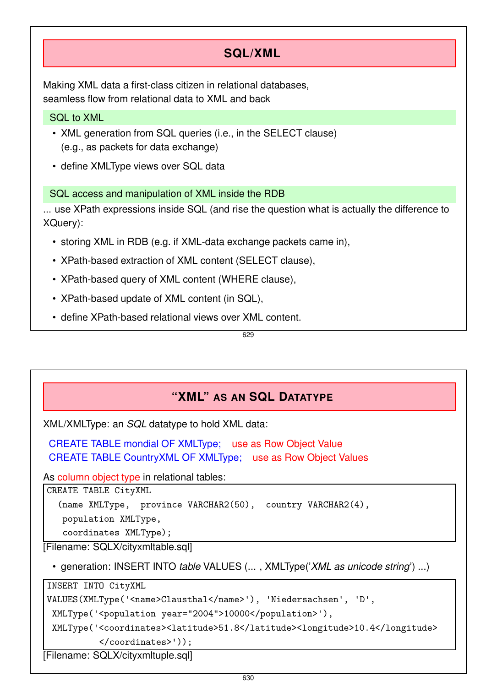# **SQL/XML**

Making XML data a first-class citizen in relational databases, seamless flow from relational data to XML and back

### SQL to XML

- XML generation from SQL queries (i.e., in the SELECT clause) (e.g., as packets for data exchange)
- define XMLType views over SQL data

### SQL access and manipulation of XML inside the RDB

... use XPath expressions inside SQL (and rise the question what is actually the difference to XQuery):

- storing XML in RDB (e.g. if XML-data exchange packets came in),
- XPath-based extraction of XML content (SELECT clause),
- XPath-based query of XML content (WHERE clause),
- XPath-based update of XML content (in SQL),
- define XPath-based relational views over XML content.

629

# **"XML" AS AN SQL DATATYPE**

XML/XMLType: an *SQL* datatype to hold XML data:

CREATE TABLE mondial OF XMLType; use as Row Object Value CREATE TABLE CountryXML OF XMLType; use as Row Object Values

As column object type in relational tables:

CREATE TABLE CityXML

(name XMLType, province VARCHAR2(50), country VARCHAR2(4),

population XMLType,

coordinates XMLType);

[Filename: SQLX/cityxmltable.sql]

• generation: INSERT INTO *table* VALUES (... , XMLType('*XML as unicode string*') ...)

INSERT INTO CityXML

VALUES(XMLType('<name>Clausthal</name>'), 'Niedersachsen', 'D',

XMLType('<population year="2004">10000</population>'),

XMLType('<coordinates><latitude>51.8</latitude><longitude>10.4</longitude> </coordinates>'));

[Filename: SQLX/cityxmltuple.sql]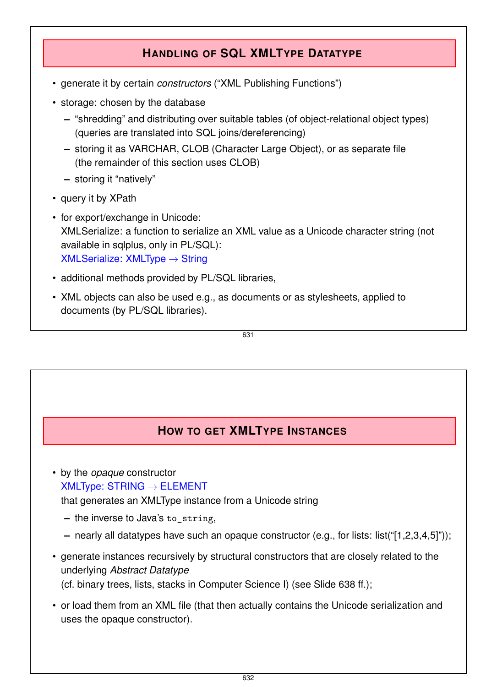# **HANDLING OF SQL XMLTYPE DATATYPE**

- generate it by certain *constructors* ("XML Publishing Functions")
- storage: chosen by the database
	- **–** "shredding" and distributing over suitable tables (of object-relational object types) (queries are translated into SQL joins/dereferencing)
	- **–** storing it as VARCHAR, CLOB (Character Large Object), or as separate file (the remainder of this section uses CLOB)
	- **–** storing it "natively"
- query it by XPath
- for export/exchange in Unicode: XMLSerialize: a function to serialize an XML value as a Unicode character string (not available in sqlplus, only in PL/SQL):  $XML$ Serialize: XMLType  $\rightarrow$  String
- additional methods provided by PL/SQL libraries,
- XML objects can also be used e.g., as documents or as stylesheets, applied to documents (by PL/SQL libraries).

631

# **HOW TO GET XMLTYPE INSTANCES**

• by the *opaque* constructor  $XMLType: STRING \rightarrow ELEMENT$ 

that generates an XMLType instance from a Unicode string

- **–** the inverse to Java's to\_string,
- **–** nearly all datatypes have such an opaque constructor (e.g., for lists: list("[1,2,3,4,5]"));
- generate instances recursively by structural constructors that are closely related to the underlying *Abstract Datatype* (cf. binary trees, lists, stacks in Computer Science I) (see Slide 638 ff.);
- or load them from an XML file (that then actually contains the Unicode serialization and uses the opaque constructor).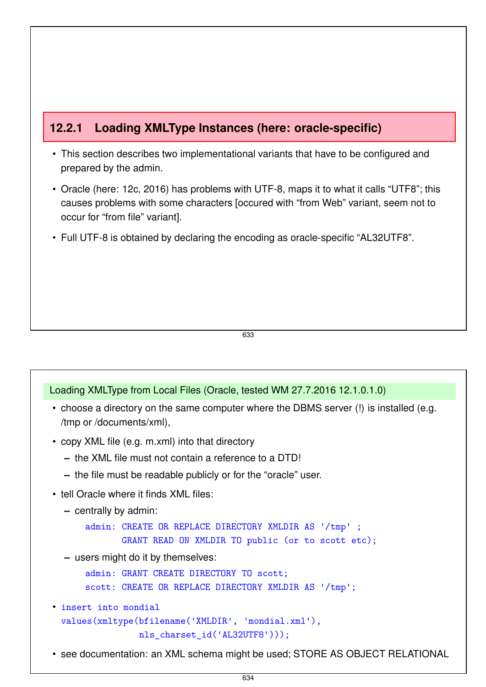# **12.2.1 Loading XMLType Instances (here: oracle-specific)**

- This section describes two implementational variants that have to be configured and prepared by the admin.
- Oracle (here: 12c, 2016) has problems with UTF-8, maps it to what it calls "UTF8"; this causes problems with some characters [occured with "from Web" variant, seem not to occur for "from file" variant].
- Full UTF-8 is obtained by declaring the encoding as oracle-specific "AL32UTF8".

633

#### Loading XMLType from Local Files (Oracle, tested WM 27.7.2016 12.1.0.1.0)

- choose a directory on the same computer where the DBMS server (!) is installed (e.g. /tmp or /documents/xml),
- copy XML file (e.g. m.xml) into that directory
	- **–** the XML file must not contain a reference to a DTD!
	- **–** the file must be readable publicly or for the "oracle" user.
- tell Oracle where it finds XML files:

```
– centrally by admin:
```

```
admin: CREATE OR REPLACE DIRECTORY XMLDIR AS '/tmp' ;
       GRANT READ ON XMLDIR TO public (or to scott etc);
```
**–** users might do it by themselves:

```
admin: GRANT CREATE DIRECTORY TO scott;
```

```
scott: CREATE OR REPLACE DIRECTORY XMLDIR AS '/tmp';
```
- insert into mondial values(xmltype(bfilename('XMLDIR', 'mondial.xml'), nls\_charset\_id('AL32UTF8')));
- see documentation: an XML schema might be used; STORE AS OBJECT RELATIONAL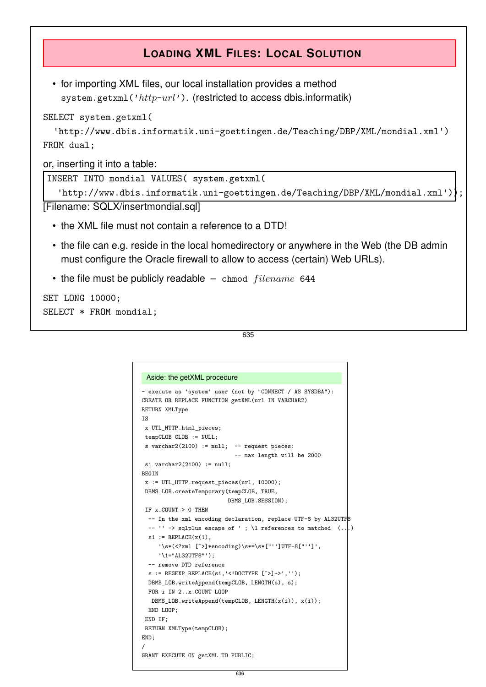# **LOADING XML FILES: LOCAL SOLUTION**

• for importing XML files, our local installation provides a method system.getxml('*http*-*url*'). (restricted to access dbis.informatik)

SELECT system.getxml(

```
'http://www.dbis.informatik.uni-goettingen.de/Teaching/DBP/XML/mondial.xml')
FROM dual;
```
or, inserting it into a table:

INSERT INTO mondial VALUES( system.getxml(

```
'http://www.dbis.informatik.uni-goettingen.de/Teaching/DBP/XML/mondial.xml'));
```
[Filename: SQLX/insertmondial.sql]

- the XML file must not contain a reference to a DTD!
- the file can e.g. reside in the local homedirectory or anywhere in the Web (the DB admin must configure the Oracle firewall to allow to access (certain) Web URLs).
- the file must be publicly readable chmod *f ilename* 644

```
SET LONG 10000;
SELECT * FROM mondial;
```
635

```
Aside: the getXML procedure
- execute as 'system' user (not by "CONNECT / AS SYSDBA"):
CREATE OR REPLACE FUNCTION getXML(url IN VARCHAR2)
RETURN XMLType
IS
x UTL_HTTP.html_pieces;
 tempCLOB CLOB := NULL;
 s varchar2(2100) := null; - request pieces:
                            -- max length will be 2000
 s1 varchar2(2100) := null;BEGIN
 x := UTL_HTTP.request_pieces(url, 10000);
 DBMS_LOB.createTemporary(tempCLOB, TRUE,
                         DBMS_LOB.SESSION);
 IF x.COUNT > 0 THEN
  -- In the xml encoding declaration, replace UTF-8 by AL32UTF8
  -- \prime\prime -> sqlplus escape of '; \1 references to matched (...)
  s1 := REPLACE(x(1)).
     '\s*(<?xml [^>]*encoding)\s*=\s*["'']UTF-8["'']',
     '\1="AL32UTF8"');
  -- remove DTD reference
  s := REGEXP_REPLACE(s1,'<!DOCTYPE [^>]+>','');
 DBMS_LOB.writeAppend(tempCLOB, LENGTH(s), s);
 FOR i IN 2..x.COUNT LOOP
  DBMS_LOB.writeAppend(tempCLOB, LENGTH(x(i)), x(i));
 END LOOP;
 END IF;
 RETURN XMLType(tempCLOB);
END;
/
GRANT EXECUTE ON getXML TO PUBLIC;
```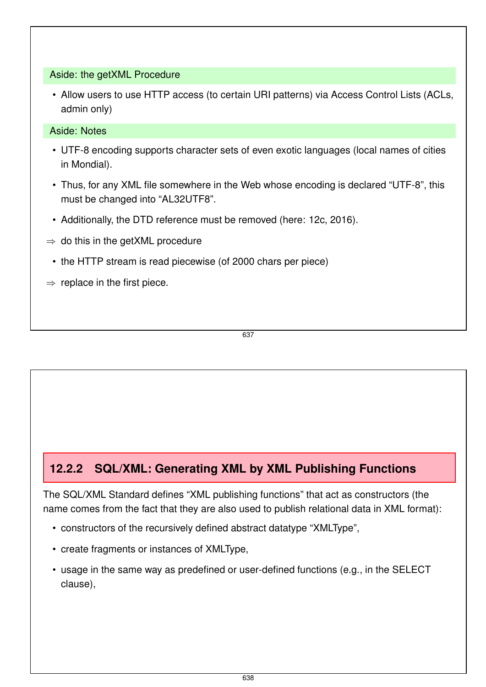#### Aside: the getXML Procedure

• Allow users to use HTTP access (to certain URI patterns) via Access Control Lists (ACLs, admin only)

#### Aside: Notes

- UTF-8 encoding supports character sets of even exotic languages (local names of cities in Mondial).
- Thus, for any XML file somewhere in the Web whose encoding is declared "UTF-8", this must be changed into "AL32UTF8".
- Additionally, the DTD reference must be removed (here: 12c, 2016).
- $\Rightarrow$  do this in the getXML procedure
	- the HTTP stream is read piecewise (of 2000 chars per piece)
- $\Rightarrow$  replace in the first piece.

637

# **12.2.2 SQL/XML: Generating XML by XML Publishing Functions**

The SQL/XML Standard defines "XML publishing functions" that act as constructors (the name comes from the fact that they are also used to publish relational data in XML format):

- constructors of the recursively defined abstract datatype "XMLType",
- create fragments or instances of XMLType,
- usage in the same way as predefined or user-defined functions (e.g., in the SELECT clause),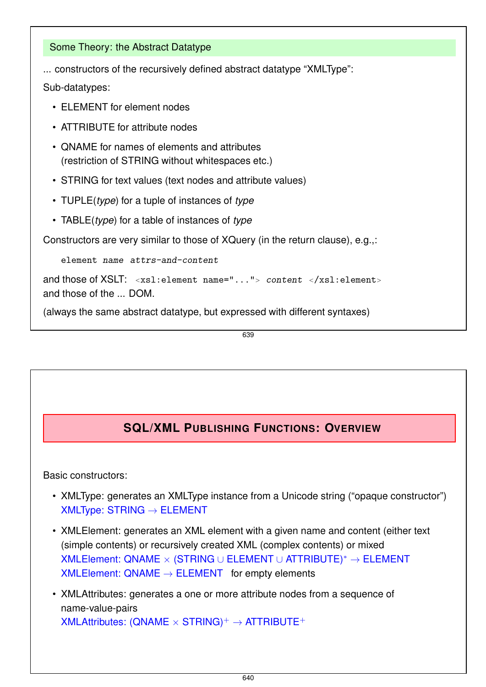#### Some Theory: the Abstract Datatype

... constructors of the recursively defined abstract datatype "XMLType":

Sub-datatypes:

- ELEMENT for element nodes
- ATTRIBUTE for attribute nodes
- QNAME for names of elements and attributes (restriction of STRING without whitespaces etc.)
- STRING for text values (text nodes and attribute values)
- TUPLE(*type*) for a tuple of instances of *type*
- TABLE(*type*) for a table of instances of *type*

Constructors are very similar to those of XQuery (in the return clause), e.g.,:

element name attrs-and-content

```
and those of XSLT: <xsl:element name="..."> content </xsl:element>
and those of the ... DOM.
```
(always the same abstract datatype, but expressed with different syntaxes)

639

# **SQL/XML PUBLISHING FUNCTIONS: OVERVIEW**

Basic constructors:

- XMLType: generates an XMLType instance from a Unicode string ("opaque constructor")  $XMLType: STRING \rightarrow ELEMENT$
- XMLElement: generates an XML element with a given name and content (either text (simple contents) or recursively created XML (complex contents) or mixed XMLElement: QNAME × (STRING ∪ ELEMENT ∪ ATTRIBUTE)<sup>∗</sup> → ELEMENT  $XMLElement:  $QNAME \rightarrow ELEMENT$  for empty elements$

• XMLAttributes: generates a one or more attribute nodes from a sequence of name-value-pairs  $XMLAttributes: (QNAME \times STRING)^+ \rightarrow ATTRIBUTE^+$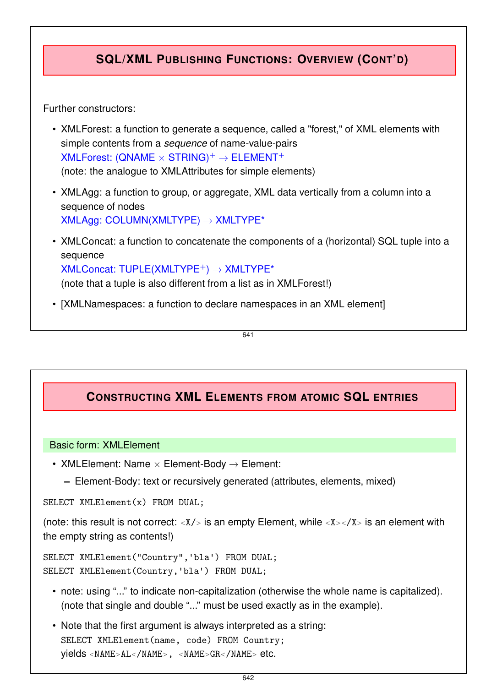# **SQL/XML PUBLISHING FUNCTIONS: OVERVIEW (CONT'D)**

Further constructors:

- XMLForest: a function to generate a sequence, called a "forest," of XML elements with simple contents from a *sequence* of name-value-pairs  $XMLForest: (QNAME \times STRING)^+ \rightarrow ELEMENT^+$ (note: the analogue to XMLAttributes for simple elements)
- XMLAgg: a function to group, or aggregate, XML data vertically from a column into a sequence of nodes XMLAgg: COLUMN(XMLTYPE) → XMLTYPE\*
- XMLConcat: a function to concatenate the components of a (horizontal) SQL tuple into a sequence  $XMLConcat: TUPLE(XMLTYPE<sup>+</sup>) \rightarrow XMLTYPE<sup>*</sup>$ (note that a tuple is also different from a list as in XMLForest!)
- [XMLNamespaces: a function to declare namespaces in an XML element]

641

# **CONSTRUCTING XML ELEMENTS FROM ATOMIC SQL ENTRIES**

#### Basic form: XMLElement

- XMLElement: Name  $\times$  Element-Body  $\rightarrow$  Element:
	- **–** Element-Body: text or recursively generated (attributes, elements, mixed)

SELECT XMLElement(x) FROM DUAL;

(note: this result is not correct: *<sup>&</sup>lt;*X/*<sup>&</sup>gt;* is an empty Element, while *<sup>&</sup>lt;*X*><*/X*<sup>&</sup>gt;* is an element with the empty string as contents!)

SELECT XMLElement("Country",'bla') FROM DUAL; SELECT XMLElement(Country,'bla') FROM DUAL;

- note: using "..." to indicate non-capitalization (otherwise the whole name is capitalized). (note that single and double "..." must be used exactly as in the example).
- Note that the first argument is always interpreted as a string: SELECT XMLElement(name, code) FROM Country; yields *<sup>&</sup>lt;*NAME*>*AL*<*/NAME*>*, *<sup>&</sup>lt;*NAME*>*GR*<*/NAME*<sup>&</sup>gt;* etc.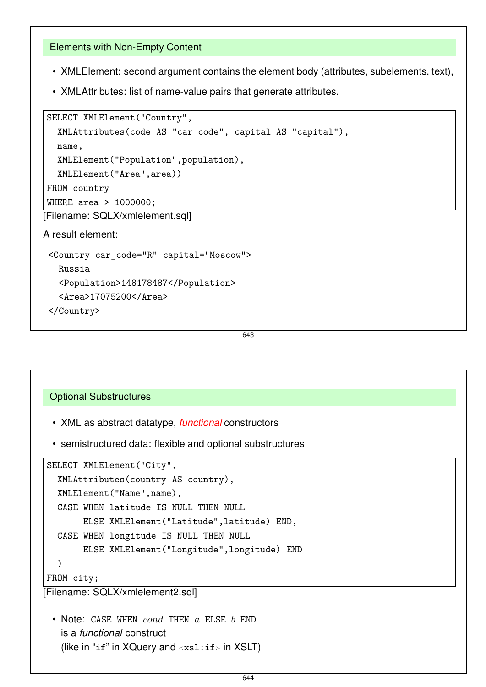#### Elements with Non-Empty Content

- XMLElement: second argument contains the element body (attributes, subelements, text),
- XMLAttributes: list of name-value pairs that generate attributes.

```
SELECT XMLElement("Country",
```

```
XMLAttributes(code AS "car_code", capital AS "capital"),
  name,
  XMLElement("Population",population),
  XMLElement("Area",area))
FROM country
WHERE area > 1000000;
[Filename: SQLX/xmlelement.sql]
A result element:
<Country car_code="R" capital="Moscow">
```

```
Russia
 <Population>148178487</Population>
 <Area>17075200</Area>
</Country>
```
643

#### Optional Substructures

- XML as abstract datatype, *functional* constructors
- semistructured data: flexible and optional substructures

```
SELECT XMLElement("City",
  XMLAttributes(country AS country),
  XMLElement("Name",name),
  CASE WHEN latitude IS NULL THEN NULL
       ELSE XMLElement("Latitude",latitude) END,
  CASE WHEN longitude IS NULL THEN NULL
       ELSE XMLElement("Longitude",longitude) END
  )
FROM city;
```
[Filename: SQLX/xmlelement2.sql]

• Note: CASE WHEN *cond* THEN *a* ELSE *b* END is a *functional* construct (like in "if" in XQuery and *<sup>&</sup>lt;*xsl:if*<sup>&</sup>gt;* in XSLT)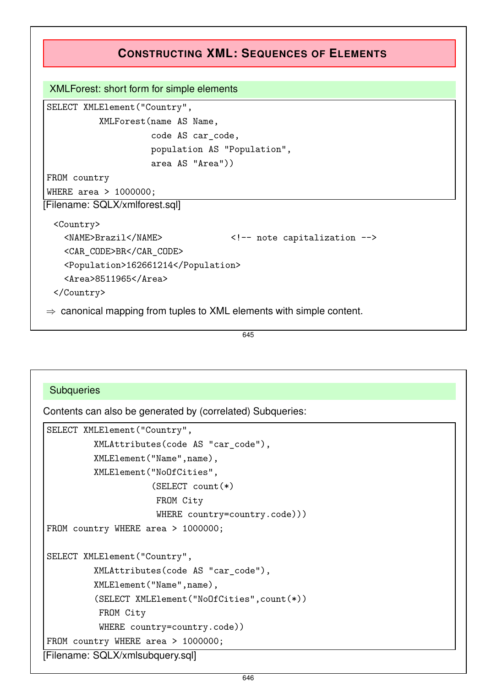# **CONSTRUCTING XML: SEQUENCES OF ELEMENTS**

#### XMLForest: short form for simple elements

SELECT XMLElement("Country", XMLForest(name AS Name, code AS car\_code, population AS "Population", area AS "Area"))

WHERE area > 1000000; [Filename: SQLX/xmlforest.sql]

<Country>

FROM country

```
<NAME>Brazil</NAME> <!-- note capitalization -->
```
<CAR\_CODE>BR</CAR\_CODE>

<Population>162661214</Population>

<Area>8511965</Area>

</Country>

 $\Rightarrow$  canonical mapping from tuples to XML elements with simple content.

645

#### **Subqueries**

Contents can also be generated by (correlated) Subqueries:

```
SELECT XMLElement("Country",
         XMLAttributes(code AS "car_code"),
         XMLElement("Name",name),
         XMLElement("NoOfCities",
                     (SELECT count(*)
                      FROM City
                      WHERE country=country.code)))
FROM country WHERE area > 1000000;
SELECT XMLElement("Country",
         XMLAttributes(code AS "car_code"),
         XMLElement("Name",name),
         (SELECT XMLElement("NoOfCities",count(*))
          FROM City
          WHERE country=country.code))
FROM country WHERE area > 1000000;
[Filename: SQLX/xmlsubquery.sql]
```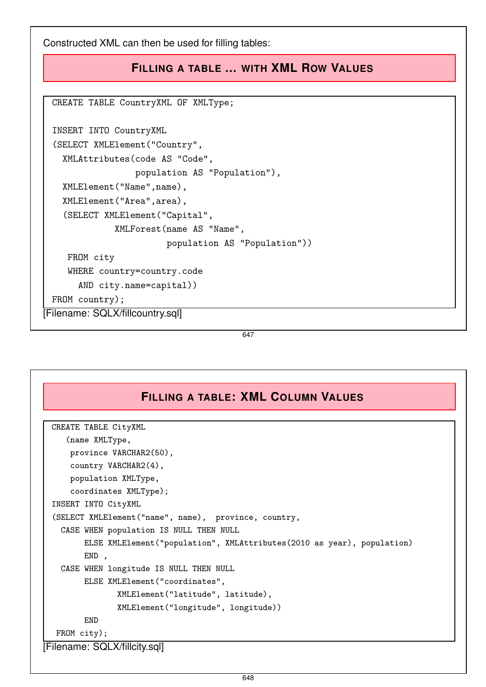Constructed XML can then be used for filling tables:

# **FILLING A TABLE ... WITH XML ROW VALUES**

CREATE TABLE CountryXML OF XMLType;

```
INSERT INTO CountryXML
 (SELECT XMLElement("Country",
   XMLAttributes(code AS "Code",
                  population AS "Population"),
   XMLElement("Name",name),
   XMLElement("Area",area),
   (SELECT XMLElement("Capital",
              XMLForest(name AS "Name",
                        population AS "Population"))
    FROM city
    WHERE country=country.code
      AND city.name=capital))
 FROM country);
[Filename: SQLX/fillcountry.sql]
```
647

# **FILLING A TABLE: XML COLUMN VALUES** CREATE TABLE CityXML (name XMLType, province VARCHAR2(50), country VARCHAR2(4), population XMLType, coordinates XMLType); INSERT INTO CityXML (SELECT XMLElement("name", name), province, country, CASE WHEN population IS NULL THEN NULL ELSE XMLElement("population", XMLAttributes(2010 as year), population) END , CASE WHEN longitude IS NULL THEN NULL ELSE XMLElement("coordinates", XMLElement("latitude", latitude), XMLElement("longitude", longitude)) END FROM city); [Filename: SQLX/fillcity.sql]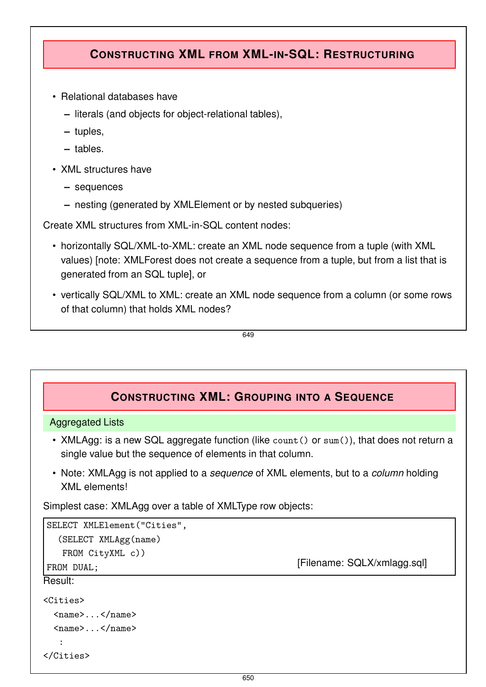# **CONSTRUCTING XML FROM XML-IN-SQL: RESTRUCTURING**

- Relational databases have
	- **–** literals (and objects for object-relational tables),
	- **–** tuples,
	- **–** tables.
- XML structures have
	- **–** sequences
	- **–** nesting (generated by XMLElement or by nested subqueries)

Create XML structures from XML-in-SQL content nodes:

- horizontally SQL/XML-to-XML: create an XML node sequence from a tuple (with XML values) [note: XMLForest does not create a sequence from a tuple, but from a list that is generated from an SQL tuple], or
- vertically SQL/XML to XML: create an XML node sequence from a column (or some rows of that column) that holds XML nodes?

```
649
```
# **CONSTRUCTING XML: GROUPING INTO A SEQUENCE**

#### Aggregated Lists

- XMLAgg: is a new SQL aggregate function (like count () or sum()), that does not return a single value but the sequence of elements in that column.
- Note: XMLAgg is not applied to a *sequence* of XML elements, but to a *column* holding XML elements!

Simplest case: XMLAgg over a table of XMLType row objects:

```
SELECT XMLElement("Cities",
  (SELECT XMLAgg(name)
  FROM CityXML c))
FROM DUAL: THE SOLY/xmlagg.sql]
Result:
<Cities>
 <name>...</name>
 <name>...</name>
  :
</Cities>
```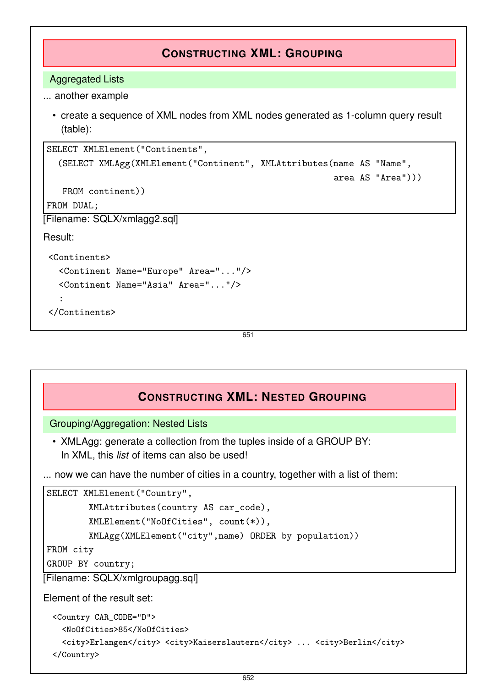# **CONSTRUCTING XML: GROUPING**

Aggregated Lists

... another example

• create a sequence of XML nodes from XML nodes generated as 1-column query result (table):

```
SELECT XMLElement("Continents",
   (SELECT XMLAgg(XMLElement("Continent", XMLAttributes(name AS "Name",
                                                          area AS "Area")))
   FROM continent))
FROM DUAL;
[Filename: SQLX/xmlagg2.sql]
Result:
 <Continents>
   <Continent Name="Europe" Area="..."/>
   <Continent Name="Asia" Area="..."/>
   :
 </Continents>
```
651

# **CONSTRUCTING XML: NESTED GROUPING**

Grouping/Aggregation: Nested Lists

• XMLAgg: generate a collection from the tuples inside of a GROUP BY: In XML, this *list* of items can also be used!

... now we can have the number of cities in a country, together with a list of them:

```
SELECT XMLElement("Country",
        XMLAttributes(country AS car_code),
        XMLElement("NoOfCities", count(*)),
        XMLAgg(XMLElement("city",name) ORDER by population))
FROM city
```
GROUP BY country;

[Filename: SQLX/xmlgroupagg.sql]

Element of the result set:

```
<Country CAR_CODE="D">
 <NoOfCities>85</NoOfCities>
 <city>Erlangen</city> <city>Kaiserslautern</city> ... <city>Berlin</city>
</Country>
```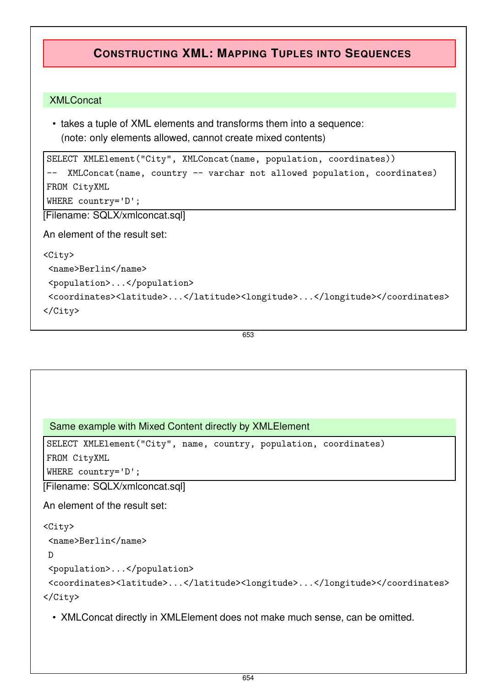# **CONSTRUCTING XML: MAPPING TUPLES INTO SEQUENCES**

#### XMLConcat

• takes a tuple of XML elements and transforms them into a sequence: (note: only elements allowed, cannot create mixed contents)

```
SELECT XMLElement("City", XMLConcat(name, population, coordinates))
-- XMLConcat(name, country -- varchar not allowed population, coordinates)
FROM CityXML
WHERE country='D';
```
[Filename: SQLX/xmlconcat.sql]

An element of the result set:

```
<City>
<name>Berlin</name>
<population>...</population>
 <coordinates><latitude>...</latitude><longitude>...</longitude></coordinates>
</City>
```
653

```
Same example with Mixed Content directly by XMLElement
```

```
SELECT XMLElement("City", name, country, population, coordinates)
```
FROM CityXML

WHERE country='D';

[Filename: SQLX/xmlconcat.sql]

An element of the result set:

```
<City>
```

```
<name>Berlin</name>
```
D

```
<population>...</population>
```

```
<coordinates><latitude>...</latitude><longitude>...</longitude></coordinates>
</City>
```
• XMLConcat directly in XMLElement does not make much sense, can be omitted.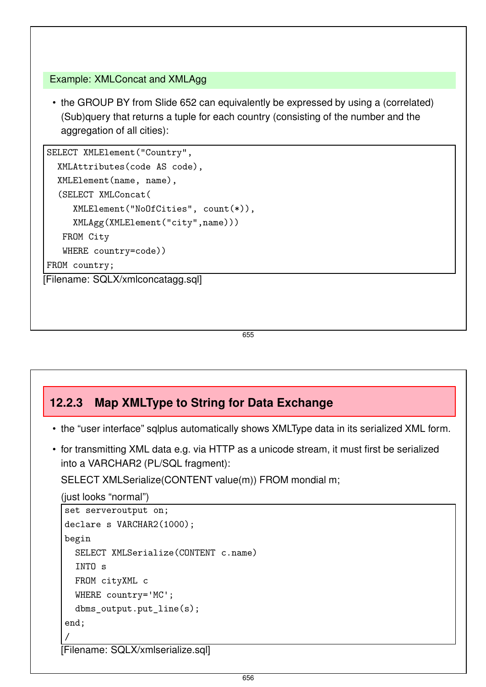#### Example: XMLConcat and XMLAgg

• the GROUP BY from Slide 652 can equivalently be expressed by using a (correlated) (Sub)query that returns a tuple for each country (consisting of the number and the aggregation of all cities):

```
SELECT XMLElement("Country",
  XMLAttributes(code AS code),
  XMLElement(name, name),
  (SELECT XMLConcat(
     XMLElement("NoOfCities", count(*)),
     XMLAgg(XMLElement("city",name)))
   FROM City
   WHERE country=code))
FROM country;
[Filename: SQLX/xmlconcatagg.sql]
```
655

# **12.2.3 Map XMLType to String for Data Exchange**

- the "user interface" sqlplus automatically shows XMLType data in its serialized XML form.
- for transmitting XML data e.g. via HTTP as a unicode stream, it must first be serialized into a VARCHAR2 (PL/SQL fragment):

SELECT XMLSerialize(CONTENT value(m)) FROM mondial m;

```
(just looks "normal")
```

```
set serveroutput on;
declare s VARCHAR2(1000);
begin
  SELECT XMLSerialize(CONTENT c.name)
  INTO s
 FROM cityXML c
 WHERE country='MC';
 dbms_output.put_line(s);
end;
/
```
[Filename: SQLX/xmlserialize.sql]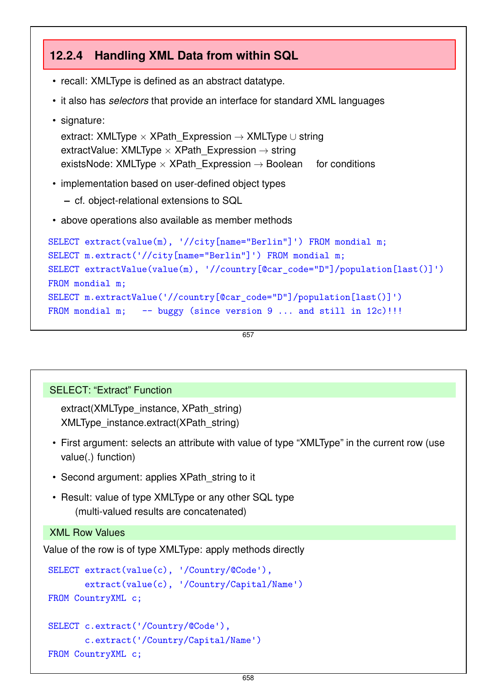# **12.2.4 Handling XML Data from within SQL**

- recall: XMLType is defined as an abstract datatype.
- it also has *selectors* that provide an interface for standard XML languages
- signature:

```
extract: XMLType \times XPath Expression \rightarrow XMLType \cup string
extractValue: XMLType \times XPath_Expression \rightarrow string
existsNode: XMLType \times XPath Expression \rightarrow Boolean for conditions
```
- implementation based on user-defined object types
	- **–** cf. object-relational extensions to SQL
- above operations also available as member methods

```
SELECT extract(value(m), '//city[name="Berlin"]') FROM mondial m;
SELECT m.extract('//city[name="Berlin"]') FROM mondial m;
SELECT extractValue(value(m), '//country[@car_code="D"]/population[last()]')
FROM mondial m;
SELECT m.extractValue('//country[@car_code="D"]/population[last()]')
FROM mondial m; - buggy (since version 9 \ldots and still in 12c)!!!
```
657

#### SELECT: "Extract" Function

extract(XMLType\_instance, XPath\_string) XMLType\_instance.extract(XPath\_string)

- First argument: selects an attribute with value of type "XMLType" in the current row (use value(.) function)
- Second argument: applies XPath string to it
- Result: value of type XMLType or any other SQL type (multi-valued results are concatenated)

#### XML Row Values

Value of the row is of type XMLType: apply methods directly

```
SELECT extract(value(c), '/Country/@Code'),
       extract(value(c), '/Country/Capital/Name')
FROM CountryXML c;
SELECT c.extract('/Country/@Code'),
       c.extract('/Country/Capital/Name')
FROM CountryXML c;
```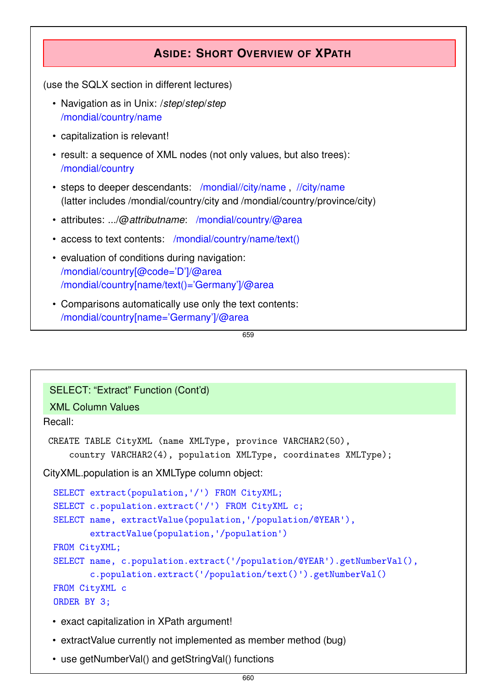### **ASIDE: SHORT OVERVIEW OF XPATH**

(use the SQLX section in different lectures)

- Navigation as in Unix: /*step*/*step*/*step* /mondial/country/name
- capitalization is relevant!
- result: a sequence of XML nodes (not only values, but also trees): /mondial/country
- steps to deeper descendants: /mondial//city/name , //city/name (latter includes /mondial/country/city and /mondial/country/province/city)
- attributes: .../@*attributname*: /mondial/country/@area
- access to text contents: /mondial/country/name/text()
- evaluation of conditions during navigation: /mondial/country[@code='D']/@area /mondial/country[name/text()='Germany']/@area
- Comparisons automatically use only the text contents: /mondial/country[name='Germany']/@area

659

#### SELECT: "Extract" Function (Cont'd)

#### XML Column Values

#### Recall:

```
CREATE TABLE CityXML (name XMLType, province VARCHAR2(50),
    country VARCHAR2(4), population XMLType, coordinates XMLType);
```
CityXML.population is an XMLType column object:

```
SELECT extract(population,'/') FROM CityXML;
SELECT c.population.extract('/') FROM CityXML c;
SELECT name, extractValue(population,'/population/@YEAR'),
       extractValue(population,'/population')
FROM CityXML;
SELECT name, c.population.extract('/population/@YEAR').getNumberVal(),
       c.population.extract('/population/text()').getNumberVal()
FROM CityXML c
ORDER BY 3;
```
- exact capitalization in XPath argument!
- extractValue currently not implemented as member method (bug)
- use getNumberVal() and getStringVal() functions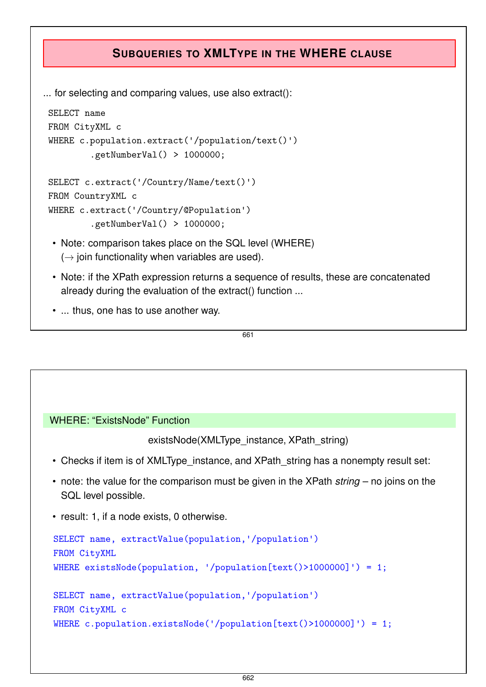# **SUBQUERIES TO XMLTYPE IN THE WHERE CLAUSE**

... for selecting and comparing values, use also extract():

```
SELECT name
FROM CityXML c
WHERE c.population.extract('/population/text()')
        .getNumberVal() > 1000000;
SELECT c.extract('/Country/Name/text()')
FROM CountryXML c
WHERE c.extract('/Country/@Population')
        .getNumberVal() > 1000000;
```
- Note: comparison takes place on the SQL level (WHERE)  $(\rightarrow)$  join functionality when variables are used).
- Note: if the XPath expression returns a sequence of results, these are concatenated already during the evaluation of the extract() function ...
- ... thus, one has to use another way.

661

#### WHERE: "ExistsNode" Function

existsNode(XMLType\_instance, XPath\_string)

- Checks if item is of XMLType instance, and XPath string has a nonempty result set:
- note: the value for the comparison must be given in the XPath *string* no joins on the SQL level possible.
- result: 1, if a node exists, 0 otherwise.

```
SELECT name, extractValue(population,'/population')
FROM CityXML
WHERE existsNode(population, '/population[text()>1000000]') = 1;
SELECT name, extractValue(population,'/population')
FROM CityXML c
WHERE c.population.existsNode('/population[text()>1000000]') = 1;
```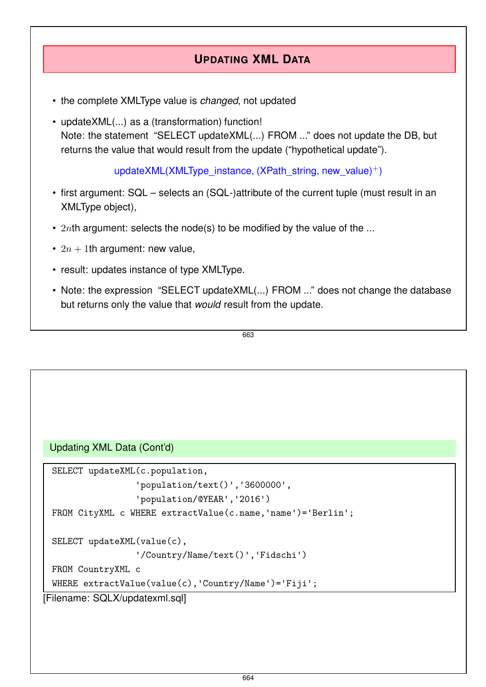# **UPDATING XML DATA**

- the complete XMLType value is *changed*, not updated
- updateXML(...) as a (transformation) function! Note: the statement "SELECT updateXML(...) FROM ..." does not update the DB, but returns the value that would result from the update ("hypothetical update").

updateXML(XMLType\_instance, (XPath\_string, new\_value)<sup>+</sup>)

- first argument: SQL selects an (SQL-)attribute of the current tuple (must result in an XMLType object),
- 2*nth* argument: selects the node(s) to be modified by the value of the ...
- $2n + 1$ th argument: new value,
- result: updates instance of type XMLType.
- Note: the expression "SELECT updateXML(...) FROM ..." does not change the database but returns only the value that *would* result from the update.

```
663
```

```
Updating XML Data (Cont'd)
```

```
SELECT updateXML(c.population,
                   'population/text()'
,
'3600000'
,
                   'population/@YEAR'
,
'2016')
 FROM CityXML c WHERE extractValue(c.name,'name')='Berlin';
 SELECT updateXML(value(c),
                   '/Country/Name/text()'
,
'Fidschi')
 FROM CountryXML c
 WHERE extractValue(value(c),'Country/Name')='Fiji';
[Filename: SQLX/updatexml.sql]
```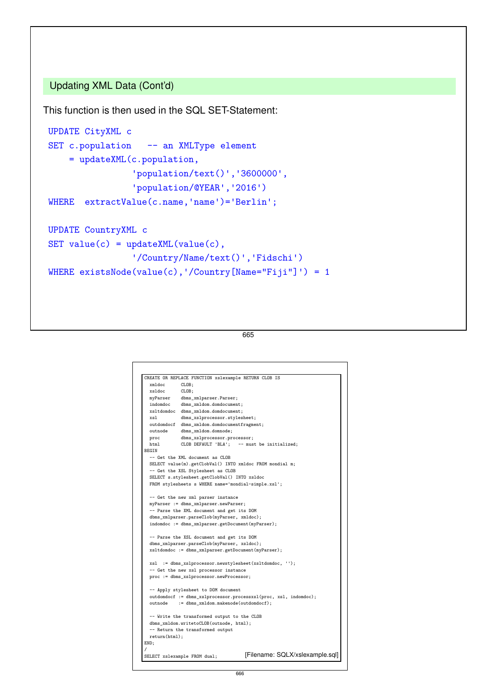### Updating XML Data (Cont'd)

This function is then used in the SQL SET-Statement:

```
UPDATE CityXML c
SET c.population -- an XMLType element
    = updateXML(c.population,
                 'population/text()'
,
'3600000'
,
                 'population/@YEAR'
,
'2016')
WHERE extractValue(c.name,'name')='Berlin';
UPDATE CountryXML c
SET value(c) = updateXML(value(c),'/Country/Name/text()'
,
'Fidschi')
WHERE existsNode(value(c),'/Country[Name="Fiji"]') = 1
```
665

|                       | CREATE OR REPLACE FUNCTION xslexample RETURN CLOB IS                                                                                                                                                                                                                                                                                                                                                 |  |
|-----------------------|------------------------------------------------------------------------------------------------------------------------------------------------------------------------------------------------------------------------------------------------------------------------------------------------------------------------------------------------------------------------------------------------------|--|
| xmldoc                | CLOB:                                                                                                                                                                                                                                                                                                                                                                                                |  |
| xsldoc                | CLOB;                                                                                                                                                                                                                                                                                                                                                                                                |  |
| myParser              | dbms_xmlparser.Parser;                                                                                                                                                                                                                                                                                                                                                                               |  |
| indomdoc              | dbms_xmldom.domdocument;                                                                                                                                                                                                                                                                                                                                                                             |  |
|                       | xsltdomdoc dbms_xmldom.domdocument;                                                                                                                                                                                                                                                                                                                                                                  |  |
| xsl                   | dbms_xslprocessor.stylesheet;                                                                                                                                                                                                                                                                                                                                                                        |  |
|                       | outdomdocf dbms_xmldom.domdocumentfragment;                                                                                                                                                                                                                                                                                                                                                          |  |
| outnode               | dbms_xmldom.domnode;                                                                                                                                                                                                                                                                                                                                                                                 |  |
| proc                  | dbms_xslprocessor.processor;                                                                                                                                                                                                                                                                                                                                                                         |  |
| html                  | CLOB DEFAULT 'BLA'; -- must be initialized;                                                                                                                                                                                                                                                                                                                                                          |  |
| <b>BEGIN</b>          |                                                                                                                                                                                                                                                                                                                                                                                                      |  |
|                       | -- Get the XML document as CLOB                                                                                                                                                                                                                                                                                                                                                                      |  |
|                       | SELECT value(m).getClobVal() INTO xmldoc FROM mondial m;                                                                                                                                                                                                                                                                                                                                             |  |
|                       | -- Get the XSL Stylesheet as CLOB                                                                                                                                                                                                                                                                                                                                                                    |  |
|                       | SELECT s.stylesheet.getClobVal() INTO xsldoc                                                                                                                                                                                                                                                                                                                                                         |  |
|                       | FROM stylesheets s WHERE name='mondial-simple.xsl';                                                                                                                                                                                                                                                                                                                                                  |  |
|                       | myParser := dbms_xmlparser.newParser;<br>-- Parse the XML document and get its DOM<br>dbms_xmlparser.parseClob(myParser, xmldoc);<br>indomdoc := dbms_xmlparser.getDocument(myParser);<br>-- Parse the XSL document and get its DOM<br>dbms_xmlparser.parseClob(myParser, xsldoc);<br>xsltdomdoc := dbms_xmlparser.getDocument(myParser);<br>xsl := dbms_xslprocessor.newstylesheet(xsltdomdoc, ''); |  |
|                       | -- Get the new xsl processor instance                                                                                                                                                                                                                                                                                                                                                                |  |
|                       | proc := dbms_xslprocessor.newProcessor;                                                                                                                                                                                                                                                                                                                                                              |  |
| outnode               | -- Apply stylesheet to DOM document<br>outdomdocf := dbms_xslprocessor.processxsl(proc, xsl, indomdoc);<br>:= dbms_xmldom.makenode(outdomdocf);                                                                                                                                                                                                                                                      |  |
| return(html);<br>END; | -- Write the transformed output to the CLOB<br>dbms xmldom.writetoCLOB(outnode, html);<br>-- Return the transformed output                                                                                                                                                                                                                                                                           |  |
|                       |                                                                                                                                                                                                                                                                                                                                                                                                      |  |
|                       | [Filename: SQLX/xslexample.sql]<br>SELECT xslexample FROM dual;                                                                                                                                                                                                                                                                                                                                      |  |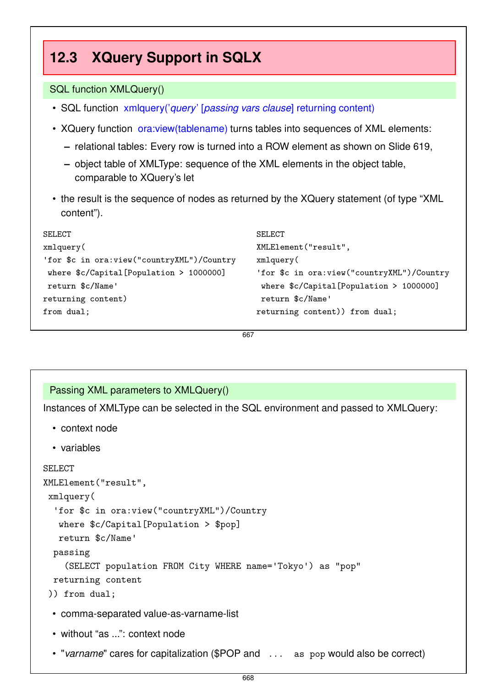### **12.3 XQuery Support in SQLX** SQL function XMLQuery() • SQL function xmlquery('*query*' [*passing vars clause*] returning content) • XQuery function ora: view (tablename) turns tables into sequences of XML elements: **–** relational tables: Every row is turned into a ROW element as shown on Slide 619, **–** object table of XMLType: sequence of the XML elements in the object table, comparable to XQuery's let • the result is the sequence of nodes as returned by the XQuery statement (of type "XML content"). SELECT xmlquery( 'for \$c in ora:view("countryXML")/Country where \$c/Capital[Population > 1000000] return \$c/Name' returning content) SELECT XMLElement("result", xmlquery( 'for \$c in ora:view("countryXML")/Country where \$c/Capital[Population > 1000000] return \$c/Name'

667

returning content)) from dual;

### Passing XML parameters to XMLQuery()

Instances of XMLType can be selected in the SQL environment and passed to XMLQuery:

- context node
- variables

```
SELECT
```
from dual;

```
XMLElement("result",
xmlquery(
  'for $c in ora:view("countryXML")/Country
   where $c/Capital[Population > $pop]
   return $c/Name'
 passing
    (SELECT population FROM City WHERE name='Tokyo') as "pop"
 returning content
```
#### )) from dual;

- comma-separated value-as-varname-list
- without "as ...": context node
- "*varname*" cares for capitalization (\$POP and ... as pop would also be correct)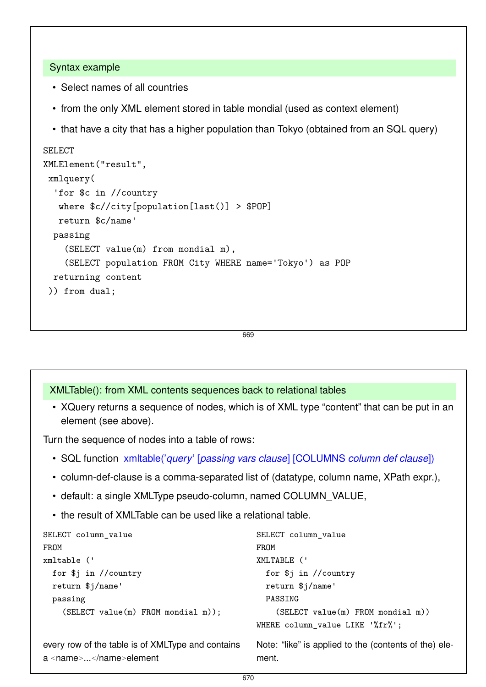#### Syntax example

- Select names of all countries
- from the only XML element stored in table mondial (used as context element)
- that have a city that has a higher population than Tokyo (obtained from an SQL query)

```
SELECT
XMLElement("result",
xmlquery(
  'for $c in //country
   where $c//city[population[last()] > $POP]
   return $c/name'
 passing
    (SELECT value(m) from mondial m),
    (SELECT population FROM City WHERE name='Tokyo') as POP
 returning content
 )) from dual;
```

```
669
```
#### XMLTable(): from XML contents sequences back to relational tables

• XQuery returns a sequence of nodes, which is of XML type "content" that can be put in an element (see above).

Turn the sequence of nodes into a table of rows:

- SQL function xmltable('*query*' [*passing vars clause*] [COLUMNS *column def clause*])
- column-def-clause is a comma-separated list of (datatype, column name, XPath expr.),
- default: a single XMLType pseudo-column, named COLUMN\_VALUE,
- the result of XMLTable can be used like a relational table.

```
SELECT column_value
FROM
xmltable ('
  for $j in //country
  return $j/name'
  passing
    (SELECT value(m) FROM mondial m));
every row of the table is of XMLType and contains
a <name>...</name>element
                                                 SELECT column_value
                                                 FROM
                                                 XMLTABLE ('
                                                   for $j in //country
                                                   return $j/name'
                                                   PASSING
                                                     (SELECT value(m) FROM mondial m))
                                                WHERE column_value LIKE '%fr%';
                                                 Note: "like" is applied to the (contents of the) ele-
                                                 ment.
```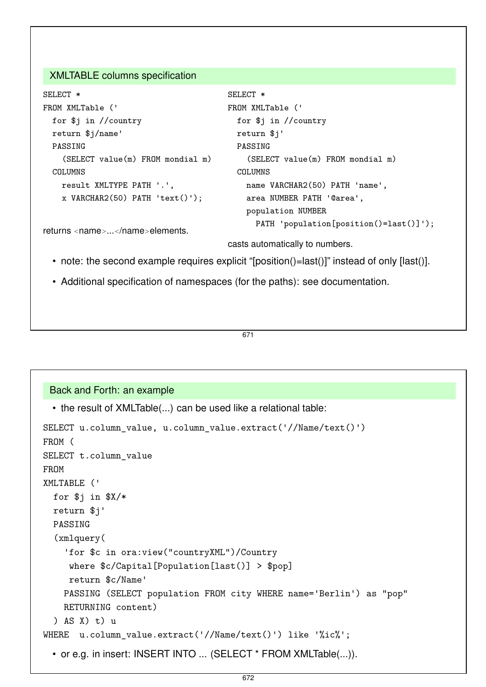#### XMLTABLE columns specification

```
SELECT *
FROM XMLTable ('
  for $j in //country
  return $j/name'
  PASSING
    (SELECT value(m) FROM mondial m)
  COLUMNS
   result XMLTYPE PATH '.',
    x VARCHAR2(50) PATH 'text()');
returns <name>...</name>elements.
                                        SELECT *
                                        FROM XMLTable ('
                                          for $j in //country
                                          return $j'
                                          PASSING
                                             (SELECT value(m) FROM mondial m)
                                          COLUMNS
                                            name VARCHAR2(50) PATH 'name',
                                            area NUMBER PATH '@area',
                                            population NUMBER
                                              PATH 'population[position()=last()]');
```
casts automatically to numbers.

- note: the second example requires explicit "[position()=last()]" instead of only [last()].
- Additional specification of namespaces (for the paths): see documentation.

#### 671

```
Back and Forth: an example
  • the result of XMLTable(...) can be used like a relational table:
SELECT u.column_value, u.column_value.extract('//Name/text()')
FROM (
SELECT t.column_value
FROM
XMLTABLE ('
  for $j in $X/*
  return $j'
  PASSING
  (xmlquery(
    'for $c in ora:view("countryXML")/Country
     where $c/Capital[Population[last()] > $pop]
     return $c/Name'
    PASSING (SELECT population FROM city WHERE name='Berlin') as "pop"
    RETURNING content)
  ) AS X) t) u
WHERE u.column_value.extract('//Name/text()') like '%ic%';
  • or e.g. in insert: INSERT INTO ... (SELECT * FROM XMLTable(...)).
```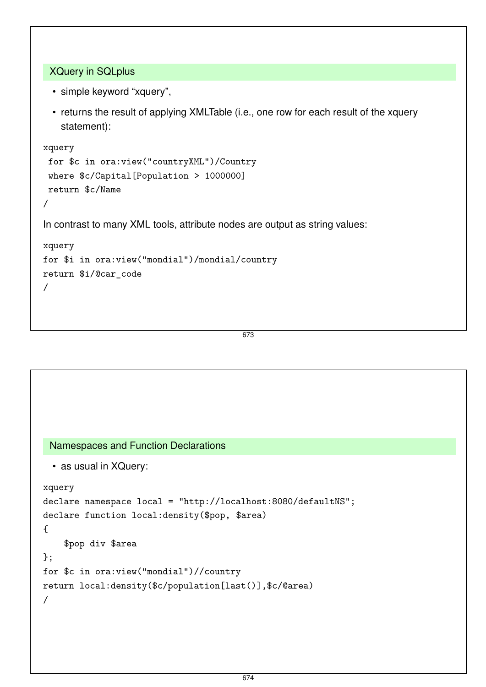```
XQuery in SQLplus
```
- simple keyword "xquery",
- returns the result of applying XMLTable (i.e., one row for each result of the xquery statement):

```
xquery
 for $c in ora:view("countryXML")/Country
 where $c/Capital[Population > 1000000]
return $c/Name
/
In contrast to many XML tools, attribute nodes are output as string values:
xquery
for $i in ora:view("mondial")/mondial/country
return $i/@car_code
/
```

```
673
```

```
Namespaces and Function Declarations
 • as usual in XQuery:
xquery
declare namespace local = "http://localhost:8080/defaultNS";
declare function local:density($pop, $area)
{
    $pop div $area
};
for $c in ora:view("mondial")//country
return local:density($c/population[last()],$c/@area)
/
```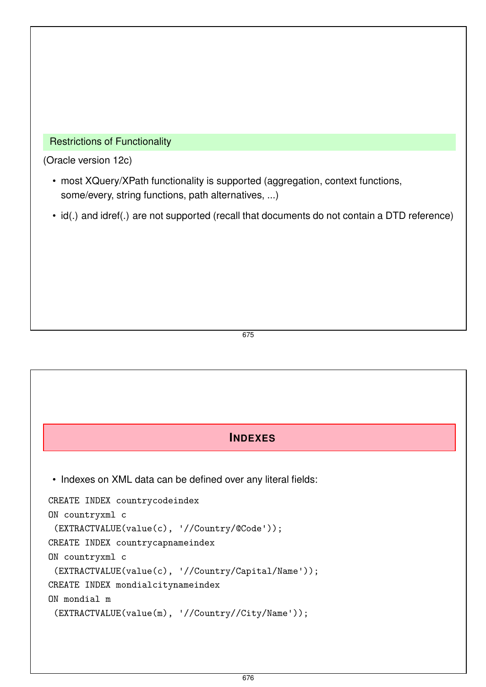#### Restrictions of Functionality

(Oracle version 12c)

- most XQuery/XPath functionality is supported (aggregation, context functions, some/every, string functions, path alternatives, ...)
- id(.) and idref(.) are not supported (recall that documents do not contain a DTD reference)

675

### **INDEXES**

• Indexes on XML data can be defined over any literal fields:

```
CREATE INDEX countrycodeindex
ON countryxml c
 (EXTRACTVALUE(value(c), '//Country/@Code'));
CREATE INDEX countrycapnameindex
ON countryxml c
 (EXTRACTVALUE(value(c), '//Country/Capital/Name'));
CREATE INDEX mondialcitynameindex
ON mondial m
 (EXTRACTVALUE(value(m), '//Country//City/Name'));
```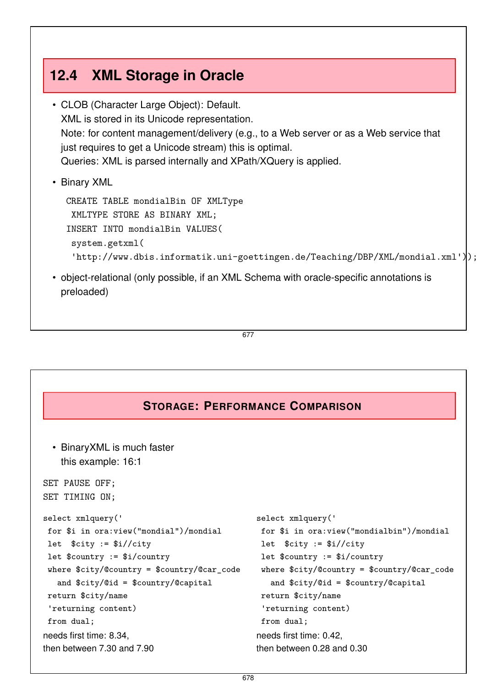# **12.4 XML Storage in Oracle**

- CLOB (Character Large Object): Default. XML is stored in its Unicode representation. Note: for content management/delivery (e.g., to a Web server or as a Web service that just requires to get a Unicode stream) this is optimal. Queries: XML is parsed internally and XPath/XQuery is applied.
- Binary XML

```
CREATE TABLE mondialBin OF XMLType
 XMLTYPE STORE AS BINARY XML;
INSERT INTO mondialBin VALUES(
 system.getxml(
 'http://www.dbis.informatik.uni-goettingen.de/Teaching/DBP/XML/mondial.xml'));
```
• object-relational (only possible, if an XML Schema with oracle-specific annotations is preloaded)

677

### **STORAGE: PERFORMANCE COMPARISON**

```
• BinaryXML is much faster
   this example: 16:1
SET PAUSE OFF;
SET TIMING ON;
select xmlquery('
 for $i in ora:view("mondial")/mondial
let $city := $i//city
let $country := $i/country
where $city/@country = $country/@car_code
   and $city/@id = $country/@capital
return $city/name
 'returning content)
from dual;
needs first time: 8.34,
then between 7.30 and 7.90
                                               select xmlquery('
                                                for $i in ora:view("mondialbin")/mondial
                                                let $city := $i//city
                                                let $country := $i/country
                                                where $city/@country = $country/@car_code
                                                  and $city/@id = $country/@capital
                                                return $city/name
                                                'returning content)
                                                from dual;
                                               needs first time: 0.42,
                                               then between 0.28 and 0.30
```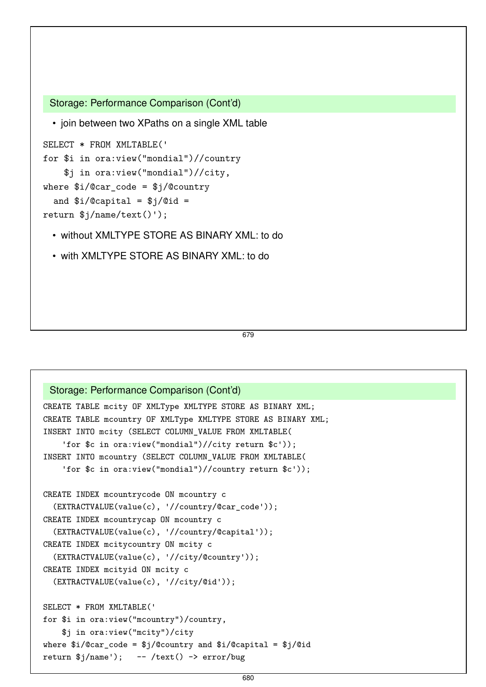```
Storage: Performance Comparison (Cont'd)
  • join between two XPaths on a single XML table
SELECT * FROM XMLTABLE('
for $i in ora:view("mondial")//country
    $j in ora:view("mondial")//city,
where i/\mathbb{C}ar\_{code} = i/\mathbb{C}countryand i/\mathcal{C}capital = i/\mathcal{C}id =
return $j/name/text()');
```
- without XMLTYPE STORE AS BINARY XML: to do
- with XMLTYPE STORE AS BINARY XML: to do

```
679
```

```
Storage: Performance Comparison (Cont'd)
CREATE TABLE mcity OF XMLType XMLTYPE STORE AS BINARY XML;
CREATE TABLE mcountry OF XMLType XMLTYPE STORE AS BINARY XML;
INSERT INTO mcity (SELECT COLUMN_VALUE FROM XMLTABLE(
    'for $c in ora:view("mondial")//city return $c'));
INSERT INTO mcountry (SELECT COLUMN_VALUE FROM XMLTABLE(
    'for $c in ora:view("mondial")//country return $c'));
CREATE INDEX mcountrycode ON mcountry c
  (EXTRACTVALUE(value(c), '//country/@car_code'));
CREATE INDEX mcountrycap ON mcountry c
  (EXTRACTVALUE(value(c), '//country/@capital'));
CREATE INDEX mcitycountry ON mcity c
  (EXTRACTVALUE(value(c), '//city/@country'));
CREATE INDEX mcityid ON mcity c
  (EXTRACTVALUE(value(c), '//city/@id'));
SELECT * FROM XMLTABLE('
for $i in ora:view("mcountry")/country,
    $j in ora:view("mcity")/city
where i/\mathcal{C}car\_{code} = i/\mathcal{C}country and i/\mathcal{C}capital = i/\mathcal{C}idreturn $j/name'); -- /text() -> error/bug
```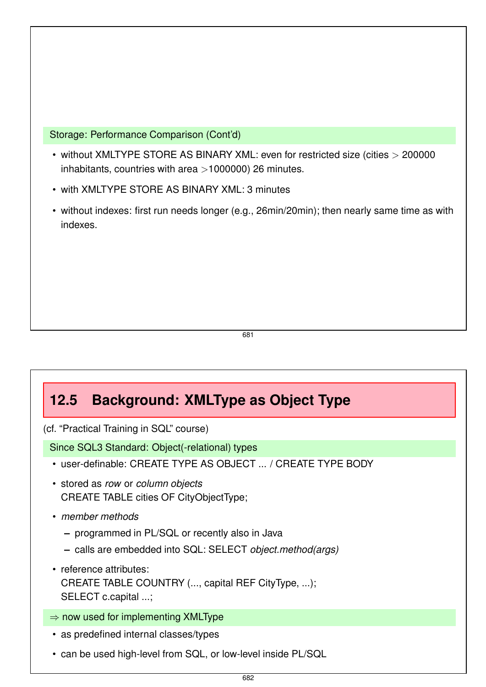Storage: Performance Comparison (Cont'd)

- without XMLTYPE STORE AS BINARY XML: even for restricted size (cities *>* 200000 inhabitants, countries with area *>*1000000) 26 minutes.
- with XMLTYPE STORE AS BINARY XML: 3 minutes
- without indexes: first run needs longer (e.g., 26min/20min); then nearly same time as with indexes.

681

# **12.5 Background: XMLType as Object Type**

(cf. "Practical Training in SQL" course)

Since SQL3 Standard: Object(-relational) types

- user-definable: CREATE TYPE AS OBJECT ... / CREATE TYPE BODY
- stored as *row* or *column objects* CREATE TABLE cities OF CityObjectType;
- *member methods*
	- **–** programmed in PL/SQL or recently also in Java
	- **–** calls are embedded into SQL: SELECT *object.method(args)*
- reference attributes: CREATE TABLE COUNTRY (..., capital REF CityType, ...); SELECT c.capital ...;
- $\Rightarrow$  now used for implementing XMLType
- as predefined internal classes/types
- can be used high-level from SQL, or low-level inside PL/SQL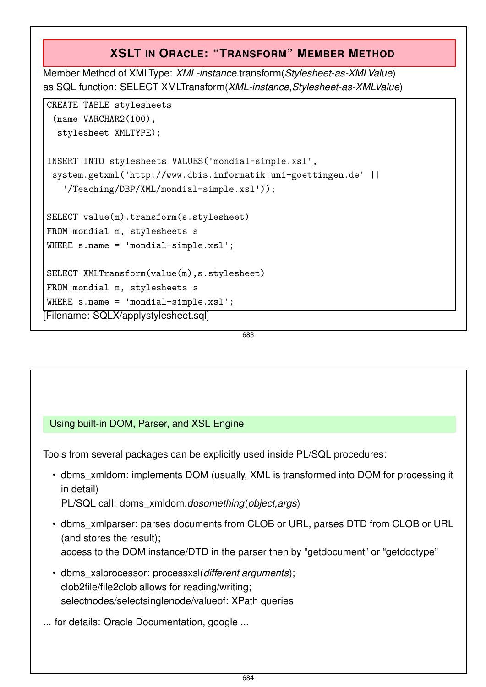# **XSLT IN ORACLE: "TRANSFORM" MEMBER METHOD**

Member Method of XMLType: *XML-instance*.transform(*Stylesheet-as-XMLValue*) as SQL function: SELECT XMLTransform(*XML-instance*,*Stylesheet-as-XMLValue*)

```
CREATE TABLE stylesheets
 (name VARCHAR2(100),
  stylesheet XMLTYPE);
INSERT INTO stylesheets VALUES('mondial-simple.xsl'
,
 system.getxml('http://www.dbis.informatik.uni-goettingen.de' ||
   '/Teaching/DBP/XML/mondial-simple.xsl'));
SELECT value(m).transform(s.stylesheet)
FROM mondial m, stylesheets s
WHERE s.name = 'mondial-simple.xsl';
SELECT XMLTransform(value(m),s.stylesheet)
FROM mondial m, stylesheets s
WHERE s.name = 'mondial-simple.xsl';
[Filename: SQLX/applystylesheet.sql]
```
683

### Using built-in DOM, Parser, and XSL Engine

Tools from several packages can be explicitly used inside PL/SQL procedures:

- dbms\_xmldom: implements DOM (usually, XML is transformed into DOM for processing it in detail) PL/SQL call: dbms\_xmldom.*dosomething*(*object,args*)
- dbms\_xmlparser: parses documents from CLOB or URL, parses DTD from CLOB or URL (and stores the result); access to the DOM instance/DTD in the parser then by "getdocument" or "getdoctype"
- dbms\_xslprocessor: processxsl(*different arguments*); clob2file/file2clob allows for reading/writing; selectnodes/selectsinglenode/valueof: XPath queries

... for details: Oracle Documentation, google ...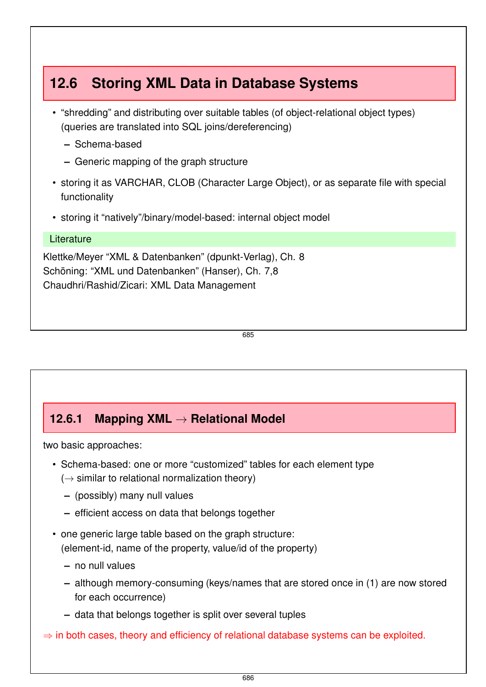# **12.6 Storing XML Data in Database Systems**

- "shredding" and distributing over suitable tables (of object-relational object types) (queries are translated into SQL joins/dereferencing)
	- **–** Schema-based
	- **–** Generic mapping of the graph structure
- storing it as VARCHAR, CLOB (Character Large Object), or as separate file with special functionality
- storing it "natively"/binary/model-based: internal object model

#### **Literature**

Klettke/Meyer "XML & Datenbanken" (dpunkt-Verlag), Ch. 8 Schöning: "XML und Datenbanken" (Hanser), Ch. 7,8 Chaudhri/Rashid/Zicari: XML Data Management

685

# **12.6.1 Mapping XML** → **Relational Model**

two basic approaches:

- Schema-based: one or more "customized" tables for each element type  $(\rightarrow$  similar to relational normalization theory)
	- **–** (possibly) many null values
	- **–** efficient access on data that belongs together
- one generic large table based on the graph structure: (element-id, name of the property, value/id of the property)
	- **–** no null values
	- **–** although memory-consuming (keys/names that are stored once in (1) are now stored for each occurrence)
	- **–** data that belongs together is split over several tuples
- $\Rightarrow$  in both cases, theory and efficiency of relational database systems can be exploited.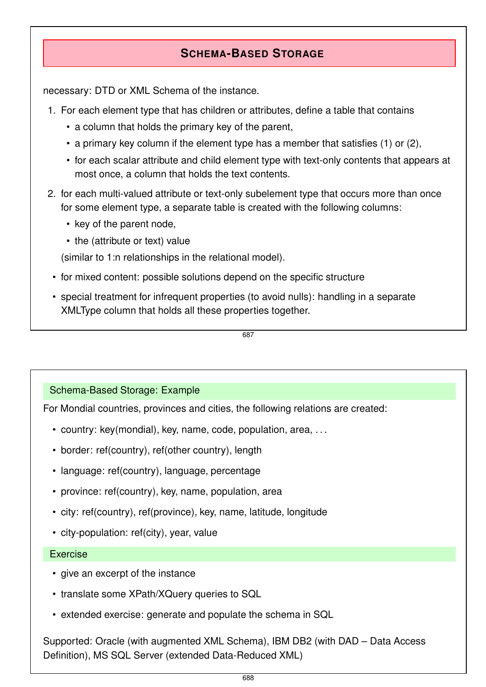# **SCHEMA-BASED STORAGE**

necessary: DTD or XML Schema of the instance.

- 1. For each element type that has children or attributes, define a table that contains
	- a column that holds the primary key of the parent,
	- a primary key column if the element type has a member that satisfies (1) or (2),
	- for each scalar attribute and child element type with text-only contents that appears at most once, a column that holds the text contents.
- 2. for each multi-valued attribute or text-only subelement type that occurs more than once for some element type, a separate table is created with the following columns:
	- key of the parent node,
	- the (attribute or text) value

(similar to 1:n relationships in the relational model).

- for mixed content: possible solutions depend on the specific structure
- special treatment for infrequent properties (to avoid nulls): handling in a separate XMLType column that holds all these properties together.

687

#### Schema-Based Storage: Example

For Mondial countries, provinces and cities, the following relations are created:

- country: key(mondial), key, name, code, population, area, . . .
- border: ref(country), ref(other country), length
- language: ref(country), language, percentage
- province: ref(country), key, name, population, area
- city: ref(country), ref(province), key, name, latitude, longitude
- city-population: ref(city), year, value

#### Exercise

- give an excerpt of the instance
- translate some XPath/XQuery queries to SQL
- extended exercise: generate and populate the schema in SQL

Supported: Oracle (with augmented XML Schema), IBM DB2 (with DAD – Data Access Definition), MS SQL Server (extended Data-Reduced XML)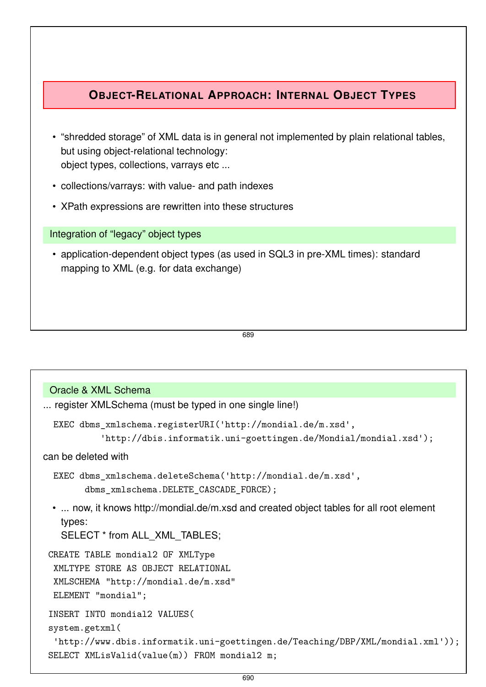# **OBJECT-RELATIONAL APPROACH: INTERNAL OBJECT TYPES**

- "shredded storage" of XML data is in general not implemented by plain relational tables, but using object-relational technology: object types, collections, varrays etc ...
- collections/varrays: with value- and path indexes
- XPath expressions are rewritten into these structures

Integration of "legacy" object types

• application-dependent object types (as used in SQL3 in pre-XML times): standard mapping to XML (e.g. for data exchange)

689

```
Oracle & XML Schema
... register XMLSchema (must be typed in one single line!)
  EXEC dbms_xmlschema.registerURI('http://mondial.de/m.xsd'
,
            'http://dbis.informatik.uni-goettingen.de/Mondial/mondial.xsd');
can be deleted with
  EXEC dbms_xmlschema.deleteSchema('http://mondial.de/m.xsd'
,
        dbms_xmlschema.DELETE_CASCADE_FORCE);
 • ... now, it knows http://mondial.de/m.xsd and created object tables for all root element
   types:
   SELECT * from ALL_XML_TABLES;
CREATE TABLE mondial2 OF XMLType
  XMLTYPE STORE AS OBJECT RELATIONAL
  XMLSCHEMA "http://mondial.de/m.xsd"
  ELEMENT "mondial";
 INSERT INTO mondial2 VALUES(
 system.getxml(
  'http://www.dbis.informatik.uni-goettingen.de/Teaching/DBP/XML/mondial.xml'));
 SELECT XMLisValid(value(m)) FROM mondial2 m;
```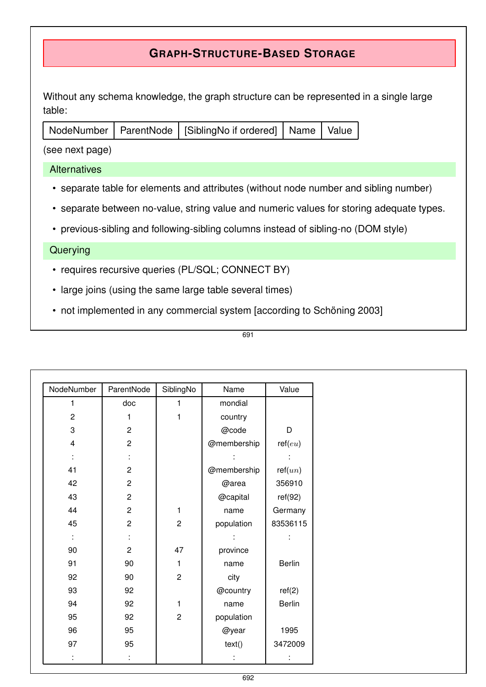# **GRAPH-STRUCTURE-BASED STORAGE**

Without any schema knowledge, the graph structure can be represented in a single large table:

| NodeNumber   ParentNode   [SiblingNo if ordered]   Name   Value <sub> </sub> |
|------------------------------------------------------------------------------|
|------------------------------------------------------------------------------|

(see next page)

#### **Alternatives**

- separate table for elements and attributes (without node number and sibling number)
- separate between no-value, string value and numeric values for storing adequate types.
- previous-sibling and following-sibling columns instead of sibling-no (DOM style)

#### **Querying**

- requires recursive queries (PL/SQL; CONNECT BY)
- large joins (using the same large table several times)
- not implemented in any commercial system [according to Schöning 2003]

| I<br>٦<br>×<br>۰.<br>۰. |  |
|-------------------------|--|
|                         |  |

| NodeNumber              | ParentNode       | SiblingNo      | Name        | Value    |
|-------------------------|------------------|----------------|-------------|----------|
| 1                       | doc              | 1              | mondial     |          |
| $\overline{c}$          | 1                | $\mathbf{1}$   | country     |          |
| 3                       | $\overline{c}$   |                | @code       | D        |
| $\overline{\mathbf{4}}$ | $\boldsymbol{2}$ |                | @membership | ref(eu)  |
|                         | t,               |                |             |          |
| 41                      | $\boldsymbol{2}$ |                | @membership | ref(un)  |
| 42                      | $\mathbf 2$      |                | @area       | 356910   |
| 43                      | $\mathbf 2$      |                | @capital    | ref(92)  |
| 44                      | $\boldsymbol{2}$ | 1              | name        | Germany  |
| 45                      | $\mathbf 2$      | $\overline{c}$ | population  | 83536115 |
| ÷                       | t,               |                |             | t,       |
| $90\,$                  | $\overline{c}$   | 47             | province    |          |
| 91                      | 90               | 1              | name        | Berlin   |
| 92                      | 90               | $\overline{c}$ | city        |          |
| 93                      | 92               |                | @country    | ref(2)   |
| 94                      | 92               | 1              | name        | Berlin   |
| 95                      | 92               | $\sqrt{2}$     | population  |          |
| 96                      | 95               |                | @year       | 1995     |
| 97                      | 95               |                | text()      | 3472009  |
| ÷                       | t,               |                | İ,          | t,       |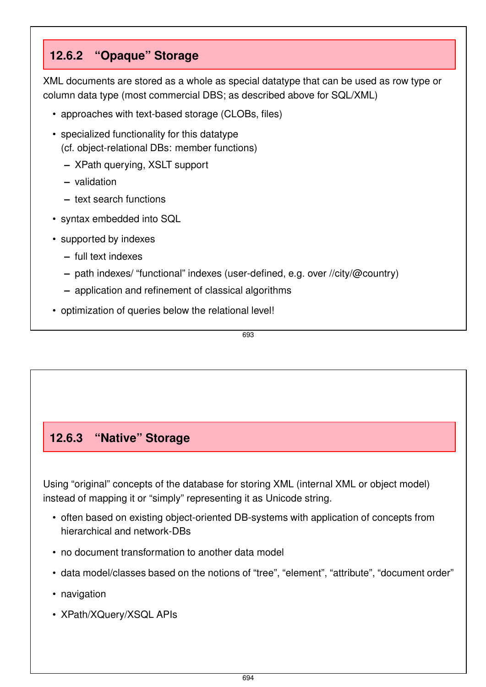# **12.6.2 "Opaque" Storage**

XML documents are stored as a whole as special datatype that can be used as row type or column data type (most commercial DBS; as described above for SQL/XML)

- approaches with text-based storage (CLOBs, files)
- specialized functionality for this datatype (cf. object-relational DBs: member functions)
	- **–** XPath querying, XSLT support
	- **–** validation
	- **–** text search functions
- syntax embedded into SQL
- supported by indexes
	- **–** full text indexes
	- **–** path indexes/ "functional" indexes (user-defined, e.g. over //city/@country)
	- **–** application and refinement of classical algorithms
- optimization of queries below the relational level!

693

# **12.6.3 "Native" Storage**

Using "original" concepts of the database for storing XML (internal XML or object model) instead of mapping it or "simply" representing it as Unicode string.

- often based on existing object-oriented DB-systems with application of concepts from hierarchical and network-DBs
- no document transformation to another data model
- data model/classes based on the notions of "tree", "element", "attribute", "document order"
- navigation
- XPath/XQuery/XSQL APIs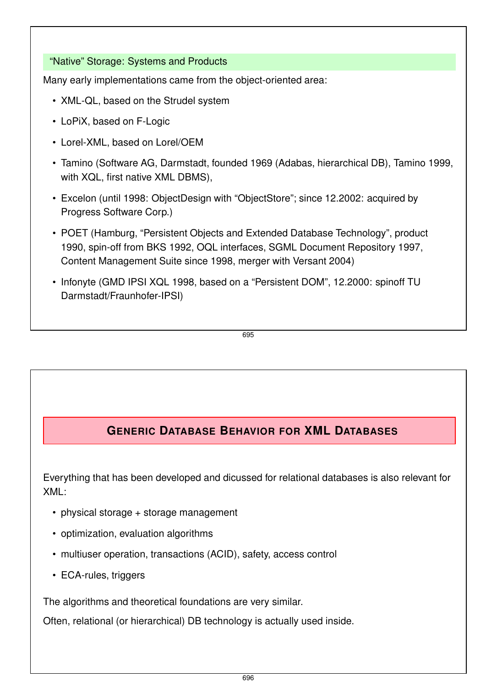#### "Native" Storage: Systems and Products

Many early implementations came from the object-oriented area:

- XML-QL, based on the Strudel system
- LoPiX, based on F-Logic
- Lorel-XML, based on Lorel/OEM
- Tamino (Software AG, Darmstadt, founded 1969 (Adabas, hierarchical DB), Tamino 1999, with XQL, first native XML DBMS),
- Excelon (until 1998: ObjectDesign with "ObjectStore"; since 12.2002: acquired by Progress Software Corp.)
- POET (Hamburg, "Persistent Objects and Extended Database Technology", product 1990, spin-off from BKS 1992, OQL interfaces, SGML Document Repository 1997, Content Management Suite since 1998, merger with Versant 2004)
- Infonyte (GMD IPSI XQL 1998, based on a "Persistent DOM", 12.2000: spinoff TU Darmstadt/Fraunhofer-IPSI)

695

# **GENERIC DATABASE BEHAVIOR FOR XML DATABASES**

Everything that has been developed and dicussed for relational databases is also relevant for XML:

- physical storage + storage management
- optimization, evaluation algorithms
- multiuser operation, transactions (ACID), safety, access control
- ECA-rules, triggers

The algorithms and theoretical foundations are very similar.

Often, relational (or hierarchical) DB technology is actually used inside.